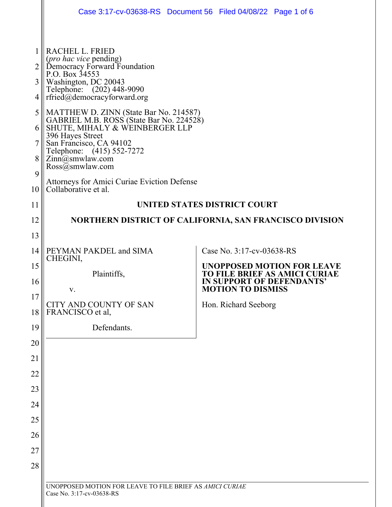|                                 | Case 3:17-cv-03638-RS Document 56 Filed 04/08/22 Page 1 of 6                                                                                                                                                                                                                                                                                                                                                                                                                               |                           |                                                                                                 |
|---------------------------------|--------------------------------------------------------------------------------------------------------------------------------------------------------------------------------------------------------------------------------------------------------------------------------------------------------------------------------------------------------------------------------------------------------------------------------------------------------------------------------------------|---------------------------|-------------------------------------------------------------------------------------------------|
| 2<br>3<br>4<br>5<br>6<br>8<br>9 | RACHEL L. FRIED<br>(pro hac vice pending)<br>Democracy Forward Foundation<br>P.O. Box 34553<br>Washington, DC 20043<br>Telephone: (202) 448-9090<br>rfried@democracyforward.org<br>MATTHEW D. ZINN (State Bar No. 214587)<br>GABRIEL M.B. ROSS (State Bar No. 224528)<br>SHUTE, MIHALY & WEINBERGER LLP<br>396 Hayes Street<br>San Francisco, CA 94102<br>Telephone: (415) 552-7272<br>Zinn@smwlaw.com<br>$\text{Ross}(\bar{a})$ smwlaw.com<br>Attorneys for Amici Curiae Eviction Defense |                           |                                                                                                 |
| 10                              | Collaborative et al.                                                                                                                                                                                                                                                                                                                                                                                                                                                                       |                           |                                                                                                 |
| 11                              | UNITED STATES DISTRICT COURT                                                                                                                                                                                                                                                                                                                                                                                                                                                               |                           |                                                                                                 |
| 12                              | NORTHERN DISTRICT OF CALIFORNIA, SAN FRANCISCO DIVISION                                                                                                                                                                                                                                                                                                                                                                                                                                    |                           |                                                                                                 |
| 13                              |                                                                                                                                                                                                                                                                                                                                                                                                                                                                                            |                           |                                                                                                 |
| 14                              | PEYMAN PAKDEL and SIMA<br>CHEGINI,                                                                                                                                                                                                                                                                                                                                                                                                                                                         | Case No. 3:17-cv-03638-RS |                                                                                                 |
| 15<br>16                        | Plaintiffs,<br>v.                                                                                                                                                                                                                                                                                                                                                                                                                                                                          | <b>MOTION TO DISMISS</b>  | <b>UNOPPOSED MOTION FOR LEAVE</b><br>TO FILE BRIEF AS AMICI CURIAE<br>IN SUPPORT OF DEFENDANTS' |
| 17<br>18                        | CITY AND COUNTY OF SAN<br>FRANCISCO et al,                                                                                                                                                                                                                                                                                                                                                                                                                                                 | Hon. Richard Seeborg      |                                                                                                 |
| 19                              | Defendants.                                                                                                                                                                                                                                                                                                                                                                                                                                                                                |                           |                                                                                                 |
| 20                              |                                                                                                                                                                                                                                                                                                                                                                                                                                                                                            |                           |                                                                                                 |
| 21                              |                                                                                                                                                                                                                                                                                                                                                                                                                                                                                            |                           |                                                                                                 |
| 22                              |                                                                                                                                                                                                                                                                                                                                                                                                                                                                                            |                           |                                                                                                 |
| 23                              |                                                                                                                                                                                                                                                                                                                                                                                                                                                                                            |                           |                                                                                                 |
| 24                              |                                                                                                                                                                                                                                                                                                                                                                                                                                                                                            |                           |                                                                                                 |
| 25                              |                                                                                                                                                                                                                                                                                                                                                                                                                                                                                            |                           |                                                                                                 |
| 26                              |                                                                                                                                                                                                                                                                                                                                                                                                                                                                                            |                           |                                                                                                 |
| 27                              |                                                                                                                                                                                                                                                                                                                                                                                                                                                                                            |                           |                                                                                                 |
| 28                              |                                                                                                                                                                                                                                                                                                                                                                                                                                                                                            |                           |                                                                                                 |
|                                 | UNOPPOSED MOTION FOR LEAVE TO FILE BRIEF AS AMICI CURIAE<br>Case No. 3:17-cv-03638-RS                                                                                                                                                                                                                                                                                                                                                                                                      |                           |                                                                                                 |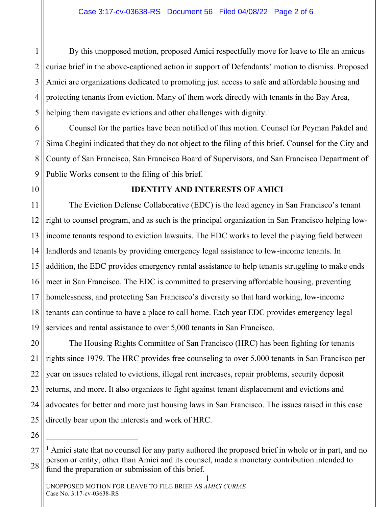1 2 3 4 5 By this unopposed motion, proposed Amici respectfully move for leave to file an amicus curiae brief in the above-captioned action in support of Defendants' motion to dismiss. Proposed Amici are organizations dedicated to promoting just access to safe and affordable housing and protecting tenants from eviction. Many of them work directly with tenants in the Bay Area, helping them navigate evictions and other challenges with dignity.<sup>[1](#page-1-0)</sup>

6 7 8 9 Counsel for the parties have been notified of this motion. Counsel for Peyman Pakdel and Sima Chegini indicated that they do not object to the filing of this brief. Counsel for the City and County of San Francisco, San Francisco Board of Supervisors, and San Francisco Department of Public Works consent to the filing of this brief.

10

### **IDENTITY AND INTERESTS OF AMICI**

11 12 13 14 15 16 17 18 19 The Eviction Defense Collaborative (EDC) is the lead agency in San Francisco's tenant right to counsel program, and as such is the principal organization in San Francisco helping lowincome tenants respond to eviction lawsuits. The EDC works to level the playing field between landlords and tenants by providing emergency legal assistance to low-income tenants. In addition, the EDC provides emergency rental assistance to help tenants struggling to make ends meet in San Francisco. The EDC is committed to preserving affordable housing, preventing homelessness, and protecting San Francisco's diversity so that hard working, low-income tenants can continue to have a place to call home. Each year EDC provides emergency legal services and rental assistance to over 5,000 tenants in San Francisco.

20 21 22 23 24 25 The Housing Rights Committee of San Francisco (HRC) has been fighting for tenants rights since 1979. The HRC provides free counseling to over 5,000 tenants in San Francisco per year on issues related to evictions, illegal rent increases, repair problems, security deposit returns, and more. It also organizes to fight against tenant displacement and evictions and advocates for better and more just housing laws in San Francisco. The issues raised in this case directly bear upon the interests and work of HRC.

<span id="page-1-0"></span><sup>27</sup> 28 <sup>1</sup> Amici state that no counsel for any party authored the proposed brief in whole or in part, and no person or entity, other than Amici and its counsel, made a monetary contribution intended to fund the preparation or submission of this brief.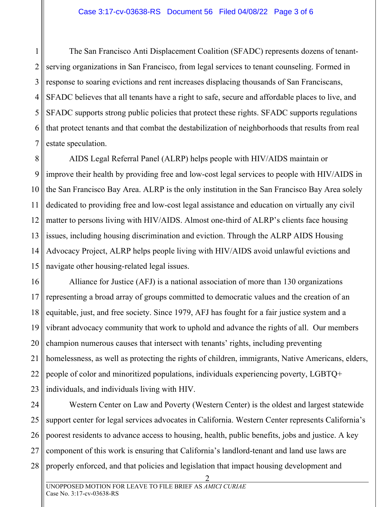1 2 3 4 5 6 7 The San Francisco Anti Displacement Coalition (SFADC) represents dozens of tenantserving organizations in San Francisco, from legal services to tenant counseling. Formed in response to soaring evictions and rent increases displacing thousands of San Franciscans, SFADC believes that all tenants have a right to safe, secure and affordable places to live, and SFADC supports strong public policies that protect these rights. SFADC supports regulations that protect tenants and that combat the destabilization of neighborhoods that results from real estate speculation.

8 9 10 11 12 13 14 15 AIDS Legal Referral Panel (ALRP) helps people with HIV/AIDS maintain or improve their health by providing free and low-cost legal services to people with HIV/AIDS in the San Francisco Bay Area. ALRP is the only institution in the San Francisco Bay Area solely dedicated to providing free and low-cost legal assistance and education on virtually any civil matter to persons living with HIV/AIDS. Almost one-third of ALRP's clients face housing issues, including housing discrimination and eviction. Through the ALRP AIDS Housing Advocacy Project, ALRP helps people living with HIV/AIDS avoid unlawful evictions and navigate other housing-related legal issues.

16 17 18 19 20 21 22 23 Alliance for Justice (AFJ) is a national association of more than 130 organizations representing a broad array of groups committed to democratic values and the creation of an equitable, just, and free society. Since 1979, AFJ has fought for a fair justice system and a vibrant advocacy community that work to uphold and advance the rights of all. Our members champion numerous causes that intersect with tenants' rights, including preventing homelessness, as well as protecting the rights of children, immigrants, Native Americans, elders, people of color and minoritized populations, individuals experiencing poverty, LGBTQ+ individuals, and individuals living with HIV.

24 25 26 27 28 Western Center on Law and Poverty (Western Center) is the oldest and largest statewide support center for legal services advocates in California. Western Center represents California's poorest residents to advance access to housing, health, public benefits, jobs and justice. A key component of this work is ensuring that California's landlord-tenant and land use laws are properly enforced, and that policies and legislation that impact housing development and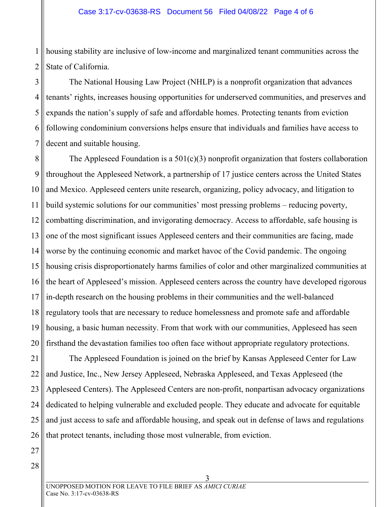1 2 housing stability are inclusive of low-income and marginalized tenant communities across the State of California.

3 4 5 6 7 The National Housing Law Project (NHLP) is a nonprofit organization that advances tenants' rights, increases housing opportunities for underserved communities, and preserves and expands the nation's supply of safe and affordable homes. Protecting tenants from eviction following condominium conversions helps ensure that individuals and families have access to decent and suitable housing.

8 9 10 11 12 13 14 15 16 17 18 19 20 The Appleseed Foundation is a  $501(c)(3)$  nonprofit organization that fosters collaboration throughout the Appleseed Network, a partnership of 17 justice centers across the United States and Mexico. Appleseed centers unite research, organizing, policy advocacy, and litigation to build systemic solutions for our communities' most pressing problems – reducing poverty, combatting discrimination, and invigorating democracy. Access to affordable, safe housing is one of the most significant issues Appleseed centers and their communities are facing, made worse by the continuing economic and market havoc of the Covid pandemic. The ongoing housing crisis disproportionately harms families of color and other marginalized communities at the heart of Appleseed's mission. Appleseed centers across the country have developed rigorous in-depth research on the housing problems in their communities and the well-balanced regulatory tools that are necessary to reduce homelessness and promote safe and affordable housing, a basic human necessity. From that work with our communities, Appleseed has seen firsthand the devastation families too often face without appropriate regulatory protections.

21 22 23 24 25 26 The Appleseed Foundation is joined on the brief by Kansas Appleseed Center for Law and Justice, Inc., New Jersey Appleseed, Nebraska Appleseed, and Texas Appleseed (the Appleseed Centers). The Appleseed Centers are non-profit, nonpartisan advocacy organizations dedicated to helping vulnerable and excluded people. They educate and advocate for equitable and just access to safe and affordable housing, and speak out in defense of laws and regulations that protect tenants, including those most vulnerable, from eviction.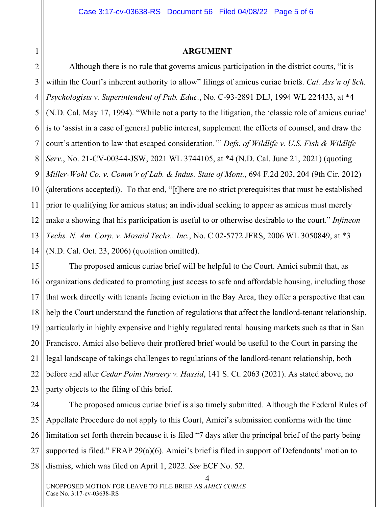### **ARGUMENT**

2 3 5 6 7 8 11 12 13 14 Although there is no rule that governs amicus participation in the district courts, "it is within the Court's inherent authority to allow" filings of amicus curiae briefs. *Cal. Ass'n of Sch. Psychologists v. Superintendent of Pub. Educ.*, No. C-93-2891 DLJ, 1994 WL 224433, at \*4 (N.D. Cal. May 17, 1994). "While not a party to the litigation, the 'classic role of amicus curiae' is to 'assist in a case of general public interest, supplement the efforts of counsel, and draw the court's attention to law that escaped consideration.'" *Defs. of Wildlife v. U.S. Fish & Wildlife Serv.*, No. 21-CV-00344-JSW, 2021 WL 3744105, at \*4 (N.D. Cal. June 21, 2021) (quoting *Miller-Wohl Co. v. Comm'r of Lab. & Indus. State of Mont.*, 694 F.2d 203, 204 (9th Cir. 2012) (alterations accepted)). To that end, "[t]here are no strict prerequisites that must be established prior to qualifying for amicus status; an individual seeking to appear as amicus must merely make a showing that his participation is useful to or otherwise desirable to the court." *Infineon Techs. N. Am. Corp. v. Mosaid Techs., Inc.*, No. C 02-5772 JFRS, 2006 WL 3050849, at \*3 (N.D. Cal. Oct. 23, 2006) (quotation omitted).

15 16 17 18 19 20 21 22 23 The proposed amicus curiae brief will be helpful to the Court. Amici submit that, as organizations dedicated to promoting just access to safe and affordable housing, including those that work directly with tenants facing eviction in the Bay Area, they offer a perspective that can help the Court understand the function of regulations that affect the landlord-tenant relationship, particularly in highly expensive and highly regulated rental housing markets such as that in San Francisco. Amici also believe their proffered brief would be useful to the Court in parsing the legal landscape of takings challenges to regulations of the landlord-tenant relationship, both before and after *Cedar Point Nursery v. Hassid*, 141 S. Ct. 2063 (2021). As stated above, no party objects to the filing of this brief.

24 25 26 27 28 The proposed amicus curiae brief is also timely submitted. Although the Federal Rules of Appellate Procedure do not apply to this Court, Amici's submission conforms with the time limitation set forth therein because it is filed "7 days after the principal brief of the party being supported is filed." FRAP 29(a)(6). Amici's brief is filed in support of Defendants' motion to dismiss, which was filed on April 1, 2022. *See* ECF No. 52.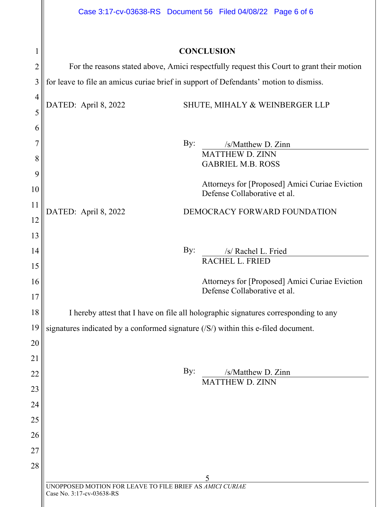| 1                   |                                                                                       | <b>CONCLUSION</b>                                                                         |
|---------------------|---------------------------------------------------------------------------------------|-------------------------------------------------------------------------------------------|
| $\overline{2}$      |                                                                                       | For the reasons stated above, Amici respectfully request this Court to grant their motion |
| 3                   |                                                                                       | for leave to file an amicus curiae brief in support of Defendants' motion to dismiss.     |
| $\overline{4}$<br>5 | DATED: April 8, 2022                                                                  | SHUTE, MIHALY & WEINBERGER LLP                                                            |
| 6                   |                                                                                       |                                                                                           |
| 7                   |                                                                                       | $\gamma$ :<br>/s/Matthew D. Zinn                                                          |
| 8<br>9              |                                                                                       | MATTHEW D. ZINN<br><b>GABRIEL M.B. ROSS</b>                                               |
| 10                  |                                                                                       | Attorneys for [Proposed] Amici Curiae Eviction<br>Defense Collaborative et al.            |
| 11<br>12            | DATED: April 8, 2022                                                                  | DEMOCRACY FORWARD FOUNDATION                                                              |
| 13                  |                                                                                       |                                                                                           |
| 14                  |                                                                                       | By:<br>/s/ Rachel L. Fried                                                                |
| 15                  |                                                                                       | RACHEL L. FRIED                                                                           |
| 16                  |                                                                                       | Attorneys for [Proposed] Amici Curiae Eviction                                            |
| 17                  |                                                                                       | Defense Collaborative et al.                                                              |
| 18                  |                                                                                       | I hereby attest that I have on file all holographic signatures corresponding to any       |
| 19                  |                                                                                       | signatures indicated by a conformed signature (/S/) within this e-filed document.         |
| 20                  |                                                                                       |                                                                                           |
| 21                  |                                                                                       |                                                                                           |
| 22                  |                                                                                       | By:<br>/s/Matthew D. Zinn                                                                 |
| 23                  |                                                                                       | <b>MATTHEW D. ZINN</b>                                                                    |
| 24                  |                                                                                       |                                                                                           |
| 25                  |                                                                                       |                                                                                           |
| 26                  |                                                                                       |                                                                                           |
| 27                  |                                                                                       |                                                                                           |
|                     |                                                                                       |                                                                                           |
| 28                  |                                                                                       | 5                                                                                         |
|                     | UNOPPOSED MOTION FOR LEAVE TO FILE BRIEF AS AMICI CURIAE<br>Case No. 3:17-cv-03638-RS |                                                                                           |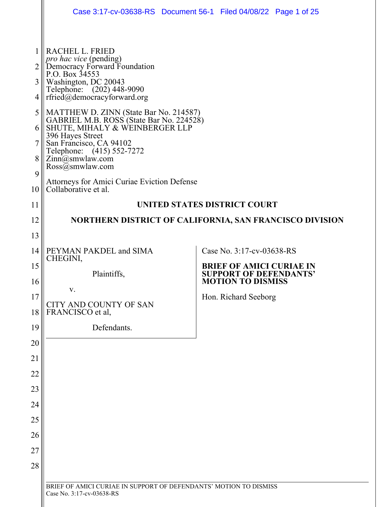|                       | Case 3:17-cv-03638-RS  Document 56-1  Filed 04/08/22  Page 1 of 25                                                                                                                                                                                                                                                                                                                                       |                                                           |  |
|-----------------------|----------------------------------------------------------------------------------------------------------------------------------------------------------------------------------------------------------------------------------------------------------------------------------------------------------------------------------------------------------------------------------------------------------|-----------------------------------------------------------|--|
| 2<br>3<br>4<br>5<br>8 | RACHEL L. FRIED<br>pro hac vice (pending)<br>Democracy Forward Foundation<br>P.O. Box 34553<br>Washington, DC 20043<br>Telephone: (202) 448-9090<br>rfried@democracyforward.org<br>MATTHEW D. ZINN (State Bar No. 214587)<br>GABRIEL M.B. ROSS (State Bar No. 224528)<br>SHUTE, MIHALY & WEINBERGER LLP<br>396 Hayes Street<br>San Francisco, CA 94102<br>Telephone: $(415)$ 552-7272<br>Zinn@smwlaw.com |                                                           |  |
| 9<br>10               | $\text{Ross}(\bar{a})$ smwlaw.com<br><b>Attorneys for Amici Curiae Eviction Defense</b><br>Collaborative et al.                                                                                                                                                                                                                                                                                          |                                                           |  |
| 11                    | UNITED STATES DISTRICT COURT                                                                                                                                                                                                                                                                                                                                                                             |                                                           |  |
| 12                    | NORTHERN DISTRICT OF CALIFORNIA, SAN FRANCISCO DIVISION                                                                                                                                                                                                                                                                                                                                                  |                                                           |  |
| 13                    |                                                                                                                                                                                                                                                                                                                                                                                                          |                                                           |  |
| 14                    | PEYMAN PAKDEL and SIMA                                                                                                                                                                                                                                                                                                                                                                                   | Case No. 3:17-cv-03638-RS                                 |  |
| 15                    | CHEGINI,                                                                                                                                                                                                                                                                                                                                                                                                 | <b>BRIEF OF AMICI CURIAE IN</b>                           |  |
| 16                    | Plaintiffs,                                                                                                                                                                                                                                                                                                                                                                                              | <b>SUPPORT OF DEFENDANTS'</b><br><b>MOTION TO DISMISS</b> |  |
| 17                    | v.                                                                                                                                                                                                                                                                                                                                                                                                       | Hon. Richard Seeborg                                      |  |
| 18                    | CITY AND COUNTY OF SAN<br>FRANCISCO et al,                                                                                                                                                                                                                                                                                                                                                               |                                                           |  |
| 19                    | Defendants.                                                                                                                                                                                                                                                                                                                                                                                              |                                                           |  |
| 20                    |                                                                                                                                                                                                                                                                                                                                                                                                          |                                                           |  |
| 21                    |                                                                                                                                                                                                                                                                                                                                                                                                          |                                                           |  |
| 22                    |                                                                                                                                                                                                                                                                                                                                                                                                          |                                                           |  |
| 23                    |                                                                                                                                                                                                                                                                                                                                                                                                          |                                                           |  |
| 24                    |                                                                                                                                                                                                                                                                                                                                                                                                          |                                                           |  |
| 25                    |                                                                                                                                                                                                                                                                                                                                                                                                          |                                                           |  |
| 26                    |                                                                                                                                                                                                                                                                                                                                                                                                          |                                                           |  |
| 27                    |                                                                                                                                                                                                                                                                                                                                                                                                          |                                                           |  |
| 28                    |                                                                                                                                                                                                                                                                                                                                                                                                          |                                                           |  |
|                       | BRIEF OF AMICI CURIAE IN SUPPORT OF DEFENDANTS' MOTION TO DISMISS<br>Case No. 3:17-cv-03638-RS                                                                                                                                                                                                                                                                                                           |                                                           |  |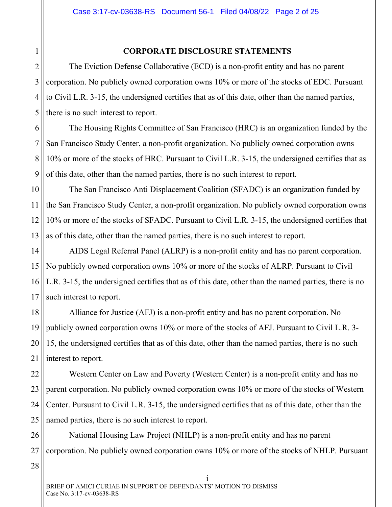## **CORPORATE DISCLOSURE STATEMENTS**

The Eviction Defense Collaborative (ECD) is a non-profit entity and has no parent corporation. No publicly owned corporation owns 10% or more of the stocks of EDC. Pursuant to Civil L.R. 3-15, the undersigned certifies that as of this date, other than the named parties, there is no such interest to report.

6 7 8 9 The Housing Rights Committee of San Francisco (HRC) is an organization funded by the San Francisco Study Center, a non-profit organization. No publicly owned corporation owns 10% or more of the stocks of HRC. Pursuant to Civil L.R. 3-15, the undersigned certifies that as of this date, other than the named parties, there is no such interest to report.

10 11 12 13 The San Francisco Anti Displacement Coalition (SFADC) is an organization funded by the San Francisco Study Center, a non-profit organization. No publicly owned corporation owns 10% or more of the stocks of SFADC. Pursuant to Civil L.R. 3-15, the undersigned certifies that as of this date, other than the named parties, there is no such interest to report.

14 15 16 17 AIDS Legal Referral Panel (ALRP) is a non-profit entity and has no parent corporation. No publicly owned corporation owns 10% or more of the stocks of ALRP. Pursuant to Civil L.R. 3-15, the undersigned certifies that as of this date, other than the named parties, there is no such interest to report.

18 19 20 21 Alliance for Justice (AFJ) is a non-profit entity and has no parent corporation. No publicly owned corporation owns 10% or more of the stocks of AFJ. Pursuant to Civil L.R. 3- 15, the undersigned certifies that as of this date, other than the named parties, there is no such interest to report.

22 23 24 25 Western Center on Law and Poverty (Western Center) is a non-profit entity and has no parent corporation. No publicly owned corporation owns 10% or more of the stocks of Western Center. Pursuant to Civil L.R. 3-15, the undersigned certifies that as of this date, other than the named parties, there is no such interest to report.

26 27 National Housing Law Project (NHLP) is a non-profit entity and has no parent corporation. No publicly owned corporation owns 10% or more of the stocks of NHLP. Pursuant

28

<span id="page-7-0"></span>1

2

3

4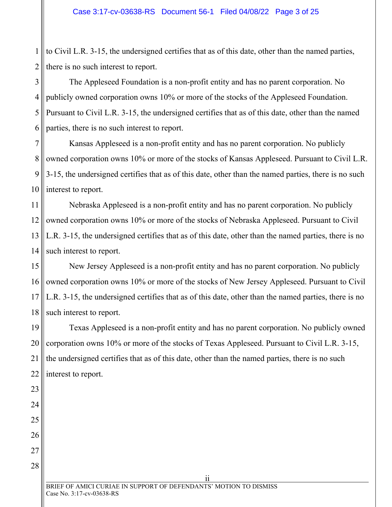1 2 to Civil L.R. 3-15, the undersigned certifies that as of this date, other than the named parties, there is no such interest to report.

3 4 5 6 The Appleseed Foundation is a non-profit entity and has no parent corporation. No publicly owned corporation owns 10% or more of the stocks of the Appleseed Foundation. Pursuant to Civil L.R. 3-15, the undersigned certifies that as of this date, other than the named parties, there is no such interest to report.

7 8 9 10 Kansas Appleseed is a non-profit entity and has no parent corporation. No publicly owned corporation owns 10% or more of the stocks of Kansas Appleseed. Pursuant to Civil L.R. 3-15, the undersigned certifies that as of this date, other than the named parties, there is no such interest to report.

11 12 13 14 Nebraska Appleseed is a non-profit entity and has no parent corporation. No publicly owned corporation owns 10% or more of the stocks of Nebraska Appleseed. Pursuant to Civil L.R. 3-15, the undersigned certifies that as of this date, other than the named parties, there is no such interest to report.

15 16 17 18 New Jersey Appleseed is a non-profit entity and has no parent corporation. No publicly owned corporation owns 10% or more of the stocks of New Jersey Appleseed. Pursuant to Civil L.R. 3-15, the undersigned certifies that as of this date, other than the named parties, there is no such interest to report.

19 20 21 22 Texas Appleseed is a non-profit entity and has no parent corporation. No publicly owned corporation owns 10% or more of the stocks of Texas Appleseed. Pursuant to Civil L.R. 3-15, the undersigned certifies that as of this date, other than the named parties, there is no such interest to report.

27 28

23

24

25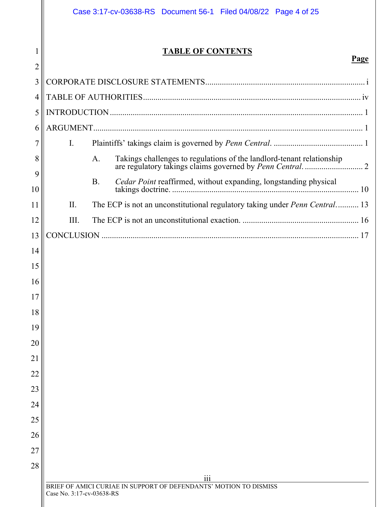1

# **TABLE OF CONTENTS**

| 2       |                           |           |                                                                                       |  |  |
|---------|---------------------------|-----------|---------------------------------------------------------------------------------------|--|--|
| 3       |                           |           |                                                                                       |  |  |
| 4       |                           |           |                                                                                       |  |  |
| 5       |                           |           |                                                                                       |  |  |
| 6       |                           |           |                                                                                       |  |  |
| 7       | $\mathbf{I}$ .            |           |                                                                                       |  |  |
| 8       |                           | A.        |                                                                                       |  |  |
| 9<br>10 |                           | <b>B.</b> | Cedar Point reaffirmed, without expanding, longstanding physical                      |  |  |
| 11      | II.                       |           | The ECP is not an unconstitutional regulatory taking under <i>Penn Central</i> . 13   |  |  |
| 12      | III.                      |           |                                                                                       |  |  |
| 13      |                           |           |                                                                                       |  |  |
| 14      |                           |           |                                                                                       |  |  |
| 15      |                           |           |                                                                                       |  |  |
| 16      |                           |           |                                                                                       |  |  |
| 17      |                           |           |                                                                                       |  |  |
| 18      |                           |           |                                                                                       |  |  |
| 19      |                           |           |                                                                                       |  |  |
| 20      |                           |           |                                                                                       |  |  |
| 21      |                           |           |                                                                                       |  |  |
| 22      |                           |           |                                                                                       |  |  |
| 23      |                           |           |                                                                                       |  |  |
| 24      |                           |           |                                                                                       |  |  |
| 25      |                           |           |                                                                                       |  |  |
| 26      |                           |           |                                                                                       |  |  |
| 27      |                           |           |                                                                                       |  |  |
| 28      |                           |           |                                                                                       |  |  |
|         |                           |           | $\overline{iii}$<br>BRIEF OF AMICI CURIAE IN SUPPORT OF DEFENDANTS' MOTION TO DISMISS |  |  |
|         | Case No. 3:17-cv-03638-RS |           |                                                                                       |  |  |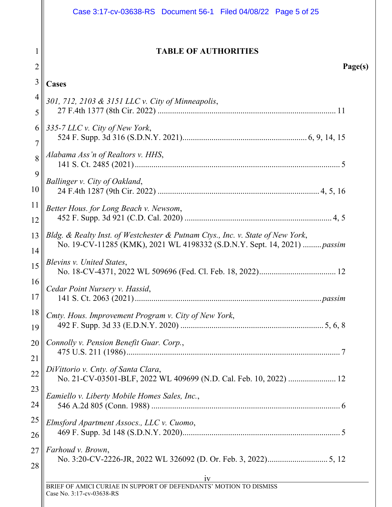<span id="page-10-0"></span>

|                | Case 3:17-cv-03638-RS Document 56-1 Filed 04/08/22 Page 5 of 25                                                                                            |
|----------------|------------------------------------------------------------------------------------------------------------------------------------------------------------|
| $\overline{c}$ | <b>TABLE OF AUTHORITIES</b><br>Page(s)                                                                                                                     |
| 3              | <b>Cases</b>                                                                                                                                               |
| $\overline{4}$ | 301, 712, 2103 & 3151 LLC v. City of Minneapolis,                                                                                                          |
| 5              |                                                                                                                                                            |
| 6<br>7         | 335-7 LLC v. City of New York,                                                                                                                             |
| 8              | Alabama Ass'n of Realtors v. HHS,                                                                                                                          |
| 9<br>10        | Ballinger v. City of Oakland,                                                                                                                              |
| 11<br>12       | Better Hous. for Long Beach v. Newsom,                                                                                                                     |
| 13<br>14       | Bldg. & Realty Inst. of Westchester & Putnam Ctys., Inc. v. State of New York,<br>No. 19-CV-11285 (KMK), 2021 WL 4198332 (S.D.N.Y. Sept. 14, 2021)  passim |
| 15             | Blevins v. United States,                                                                                                                                  |
| 16<br>17       | Cedar Point Nursery v. Hassid,                                                                                                                             |
| 18<br>19       | Cmty. Hous. Improvement Program v. City of New York,                                                                                                       |
| 20<br>21       | Connolly v. Pension Benefit Guar. Corp.,                                                                                                                   |
| 22             | DiVittorio v. Cnty. of Santa Clara,<br>No. 21-CV-03501-BLF, 2022 WL 409699 (N.D. Cal. Feb. 10, 2022)  12                                                   |
| 23<br>24       | Eamiello v. Liberty Mobile Homes Sales, Inc.,                                                                                                              |
| 25             | Elmsford Apartment Assocs., LLC v. Cuomo,                                                                                                                  |
| 26             |                                                                                                                                                            |
| 27<br>28       | Farhoud v. Brown,                                                                                                                                          |
|                | 1V<br>IV 1V<br>BRIEF OF AMICI CURIAE IN SUPPORT OF DEFENDANTS' MOTION TO DISMISS<br>Case No. 3:17-cv-03638-RS                                              |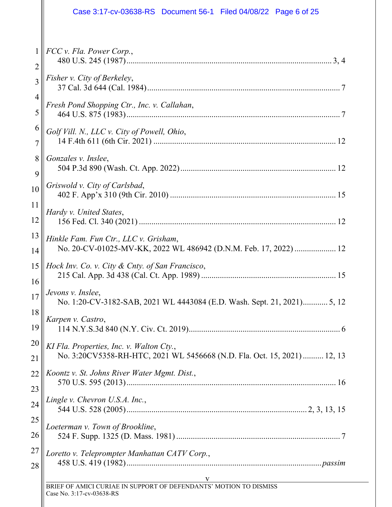|                                  | FCC v. Fla. Power Corp.,                                                                                            |
|----------------------------------|---------------------------------------------------------------------------------------------------------------------|
| $\overline{2}$<br>$\overline{3}$ | Fisher v. City of Berkeley,                                                                                         |
| $\overline{4}$<br>5              | Fresh Pond Shopping Ctr., Inc. v. Callahan,                                                                         |
|                                  |                                                                                                                     |
| 6<br>$\overline{7}$              | Golf Vill. N., LLC v. City of Powell, Ohio,                                                                         |
| 8<br>9                           | Gonzales v. Inslee,                                                                                                 |
| 10                               | Griswold v. City of Carlsbad,                                                                                       |
| 11<br>12                         | Hardy v. United States,                                                                                             |
| 13<br>14                         | Hinkle Fam. Fun Ctr., LLC v. Grisham,<br>No. 20-CV-01025-MV-KK, 2022 WL 486942 (D.N.M. Feb. 17, 2022)  12           |
| 15<br>16                         | Hock Inv. Co. v. City & Cnty. of San Francisco,                                                                     |
| 17                               | Jevons v. Inslee,<br>No. 1:20-CV-3182-SAB, 2021 WL 4443084 (E.D. Wash. Sept. 21, 2021) 5, 12                        |
| 18<br>19                         | Karpen v. Castro,<br>114 N.Y.S.3d 840 (N.Y. Civ. Ct. 2019)                                                          |
| 20                               | KI Fla. Properties, Inc. v. Walton Cty.,<br>No. 3:20CV5358-RH-HTC, 2021 WL 5456668 (N.D. Fla. Oct. 15, 2021) 12, 13 |
| 21                               | Koontz v. St. Johns River Water Mgmt. Dist.,                                                                        |
| 22<br>23                         |                                                                                                                     |
| 24                               | Lingle v. Chevron U.S.A. Inc.,                                                                                      |
| 25                               |                                                                                                                     |
| 26                               | Loeterman v. Town of Brookline,                                                                                     |
| 27                               | Loretto v. Teleprompter Manhattan CATV Corp.,                                                                       |
| 28                               |                                                                                                                     |
|                                  | V<br>BRIEF OF AMICI CURIAE IN SUPPORT OF DEFENDANTS' MOTION TO DISMISS                                              |
|                                  |                                                                                                                     |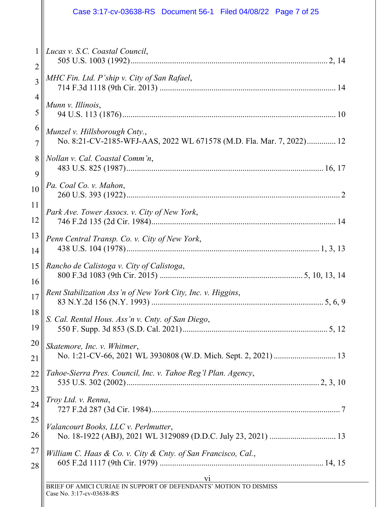|                | Case 3:17-cv-03638-RS  Document 56-1  Filed 04/08/22  Page 7 of 25   |
|----------------|----------------------------------------------------------------------|
| $\mathbf{1}$   | Lucas v. S.C. Coastal Council,                                       |
| $\overline{2}$ |                                                                      |
| $\overline{3}$ | MHC Fin. Ltd. P'ship v. City of San Rafael,                          |
| 4              | Munn v. Illinois,                                                    |
| 5              |                                                                      |
| 6              | Munzel v. Hillsborough Cnty.,                                        |
| 7              | No. 8:21-CV-2185-WFJ-AAS, 2022 WL 671578 (M.D. Fla. Mar. 7, 2022) 12 |
| 8              | Nollan v. Cal. Coastal Comm'n,                                       |
| 9              |                                                                      |
| 10             | Pa. Coal Co. v. Mahon,                                               |
| 11             | Park Ave. Tower Assocs. v. City of New York,                         |
| 12             |                                                                      |
| 13             | Penn Central Transp. Co. v. City of New York,                        |
| 14             |                                                                      |
| 15             | Rancho de Calistoga v. City of Calistoga,                            |
| 16             |                                                                      |
| 17             | Rent Stabilization Ass'n of New York City, Inc. v. Higgins,          |
| 18             | S. Cal. Rental Hous. Ass'n v. Cnty. of San Diego,                    |
| 19             |                                                                      |
| 20             | Skatemore, Inc. v. Whitmer,                                          |
| 21             |                                                                      |
| 22             | Tahoe-Sierra Pres. Council, Inc. v. Tahoe Reg'l Plan. Agency,        |
| 23             |                                                                      |
| 24             | Troy Ltd. v. Renna,                                                  |
| 25             | Valancourt Books, LLC v. Perlmutter,                                 |
| 26             |                                                                      |
| 27             | William C. Haas & Co. v. City & Cnty. of San Francisco, Cal.,        |
| 28             |                                                                      |
|                | V1<br><b>EXAMPLE AN INCONSTRUCT OF DEFENDANTS' MOTION TO DISMISS</b> |

Case No. 3:17-cv-03638-RS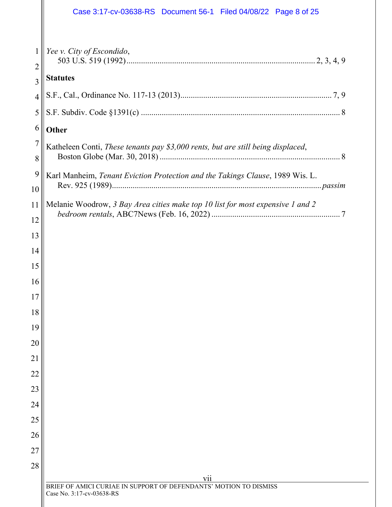|                     | Case 3:17-cv-03638-RS  Document 56-1  Filed 04/08/22  Page 8 of 25               |
|---------------------|----------------------------------------------------------------------------------|
|                     |                                                                                  |
| 1<br>$\overline{2}$ | Yee v. City of Escondido,                                                        |
| 3                   | <b>Statutes</b>                                                                  |
| $\overline{4}$      |                                                                                  |
| 5                   |                                                                                  |
| 6                   | <b>Other</b>                                                                     |
| 7<br>8              | Katheleen Conti, These tenants pay \$3,000 rents, but are still being displaced, |
| 9                   | Karl Manheim, Tenant Eviction Protection and the Takings Clause, 1989 Wis. L.    |
| 10                  |                                                                                  |
| 11                  | Melanie Woodrow, 3 Bay Area cities make top 10 list for most expensive 1 and 2   |
| 12                  |                                                                                  |
| 13                  |                                                                                  |
| 14                  |                                                                                  |
| 15                  |                                                                                  |
| 16                  |                                                                                  |
| 17                  |                                                                                  |
| 18                  |                                                                                  |
| 19                  |                                                                                  |
| 20<br>21            |                                                                                  |
| 22                  |                                                                                  |
| 23                  |                                                                                  |
| 24                  |                                                                                  |
| 25                  |                                                                                  |
| 26                  |                                                                                  |
| 27                  |                                                                                  |
| 28                  |                                                                                  |
|                     | V11<br>BRIEF OF AMICI CURIAE IN SUPPORT OF DEFENDANTS' MOTION TO DISMISS         |
|                     | Case No. 3:17-cv-03638-RS                                                        |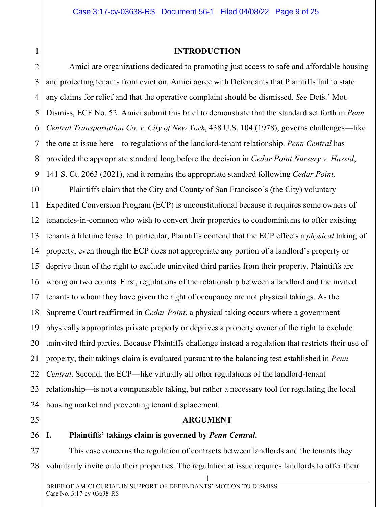### <span id="page-14-4"></span><span id="page-14-3"></span>**INTRODUCTION**

<span id="page-14-0"></span>2 3 4 5 6 7 8  $\overline{Q}$ Amici are organizations dedicated to promoting just access to safe and affordable housing and protecting tenants from eviction. Amici agree with Defendants that Plaintiffs fail to state any claims for relief and that the operative complaint should be dismissed. *See* Defs.' Mot. Dismiss, ECF No. 52. Amici submit this brief to demonstrate that the standard set forth in *Penn Central Transportation Co. v. City of New York*, 438 U.S. 104 (1978), governs challenges—like the one at issue here—to regulations of the landlord-tenant relationship. *Penn Central* has provided the appropriate standard long before the decision in *Cedar Point Nursery v. Hassid*, 141 S. Ct. 2063 (2021), and it remains the appropriate standard following *Cedar Point*.

10 11 12 13 14 15 16 17 18 19 20 21 22 23 24 Plaintiffs claim that the City and County of San Francisco's (the City) voluntary Expedited Conversion Program (ECP) is unconstitutional because it requires some owners of tenancies-in-common who wish to convert their properties to condominiums to offer existing tenants a lifetime lease. In particular, Plaintiffs contend that the ECP effects a *physical* taking of property, even though the ECP does not appropriate any portion of a landlord's property or deprive them of the right to exclude uninvited third parties from their property. Plaintiffs are wrong on two counts. First, regulations of the relationship between a landlord and the invited tenants to whom they have given the right of occupancy are not physical takings. As the Supreme Court reaffirmed in *Cedar Point*, a physical taking occurs where a government physically appropriates private property or deprives a property owner of the right to exclude uninvited third parties. Because Plaintiffs challenge instead a regulation that restricts their use of property, their takings claim is evaluated pursuant to the balancing test established in *Penn Central*. Second, the ECP—like virtually all other regulations of the landlord-tenant relationship—is not a compensable taking, but rather a necessary tool for regulating the local housing market and preventing tenant displacement.

<span id="page-14-1"></span>25

## **ARGUMENT**

### <span id="page-14-2"></span>26 **I. Plaintiffs' takings claim is governed by** *Penn Central***.**

27 28 This case concerns the regulation of contracts between landlords and the tenants they voluntarily invite onto their properties. The regulation at issue requires landlords to offer their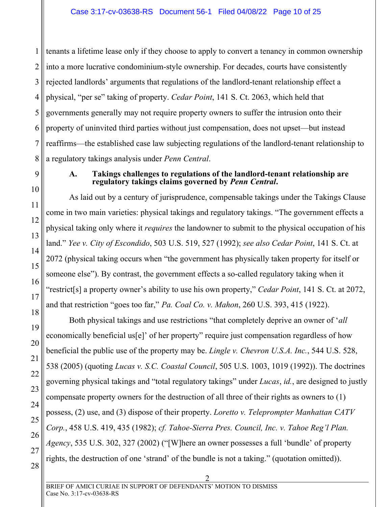1 2 3 4 5 6 7 8 tenants a lifetime lease only if they choose to apply to convert a tenancy in common ownership into a more lucrative condominium-style ownership. For decades, courts have consistently rejected landlords' arguments that regulations of the landlord-tenant relationship effect a physical, "per se" taking of property. *Cedar Point*, 141 S. Ct. 2063, which held that governments generally may not require property owners to suffer the intrusion onto their property of uninvited third parties without just compensation, does not upset—but instead reaffirms—the established case law subjecting regulations of the landlord-tenant relationship to a regulatory takings analysis under *Penn Central*.

### **A. Takings challenges to regulations of the landlord-tenant relationship are regulatory takings claims governed by** *Penn Central***.**

As laid out by a century of jurisprudence, compensable takings under the Takings Clause come in two main varieties: physical takings and regulatory takings. "The government effects a physical taking only where it *requires* the landowner to submit to the physical occupation of his land." *Yee v. City of Escondido*, 503 U.S. 519, 527 (1992); *see also Cedar Point*, 141 S. Ct. at 2072 (physical taking occurs when "the government has physically taken property for itself or someone else"). By contrast, the government effects a so-called regulatory taking when it "restrict[s] a property owner's ability to use his own property," *Cedar Point*, 141 S. Ct. at 2072, and that restriction "goes too far," *Pa. Coal Co. v. Mahon*, 260 U.S. 393, 415 (1922).

<span id="page-15-5"></span><span id="page-15-4"></span><span id="page-15-2"></span><span id="page-15-1"></span>Both physical takings and use restrictions "that completely deprive an owner of '*all* economically beneficial us[e]' of her property" require just compensation regardless of how beneficial the public use of the property may be. *Lingle v. Chevron U.S.A. Inc.*, 544 U.S. 528, 538 (2005) (quoting *Lucas v. S.C. Coastal Council*, 505 U.S. 1003, 1019 (1992)). The doctrines governing physical takings and "total regulatory takings" under *Lucas*, *id.*, are designed to justly compensate property owners for the destruction of all three of their rights as owners to (1) possess, (2) use, and (3) dispose of their property. *Loretto v. Teleprompter Manhattan CATV Corp.*, 458 U.S. 419, 435 (1982); *cf. Tahoe-Sierra Pres. Council, Inc. v. Tahoe Reg'l Plan. Agency*, 535 U.S. 302, 327 (2002) ("[W]here an owner possesses a full 'bundle' of property rights, the destruction of one 'strand' of the bundle is not a taking." (quotation omitted)).

28

<span id="page-15-0"></span> $\overline{Q}$ 

10

11

12

<span id="page-15-7"></span>13

14

15

16

17

18

19

20

21

22

23

24

<span id="page-15-6"></span><span id="page-15-3"></span>25

26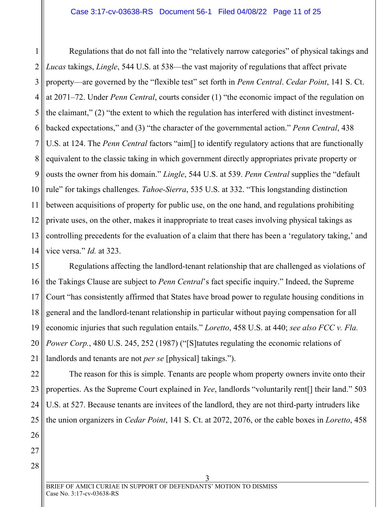<span id="page-16-1"></span>1 2 3 4 5 6 7 8 9 10 11 12 13 14 Regulations that do not fall into the "relatively narrow categories" of physical takings and *Lucas* takings, *Lingle*, 544 U.S. at 538—the vast majority of regulations that affect private property—are governed by the "flexible test" set forth in *Penn Central*. *Cedar Point*, 141 S. Ct. at 2071–72. Under *Penn Central*, courts consider (1) "the economic impact of the regulation on the claimant," (2) "the extent to which the regulation has interfered with distinct investmentbacked expectations," and (3) "the character of the governmental action." *Penn Central*, 438 U.S. at 124. The *Penn Central* factors "aim[] to identify regulatory actions that are functionally equivalent to the classic taking in which government directly appropriates private property or ousts the owner from his domain." *Lingle*, 544 U.S. at 539. *Penn Central* supplies the "default rule" for takings challenges. *Tahoe-Sierra*, 535 U.S. at 332. "This longstanding distinction between acquisitions of property for public use, on the one hand, and regulations prohibiting private uses, on the other, makes it inappropriate to treat cases involving physical takings as controlling precedents for the evaluation of a claim that there has been a 'regulatory taking,' and vice versa." *Id.* at 323.

15 16 17 18 19 20 21 Regulations affecting the landlord-tenant relationship that are challenged as violations of the Takings Clause are subject to *Penn Central*'s fact specific inquiry." Indeed, the Supreme Court "has consistently affirmed that States have broad power to regulate housing conditions in general and the landlord-tenant relationship in particular without paying compensation for all economic injuries that such regulation entails." *Loretto*, 458 U.S. at 440; *see also FCC v. Fla. Power Corp.*, 480 U.S. 245, 252 (1987) ("[S] tatutes regulating the economic relations of landlords and tenants are not *per se* [physical] takings.").

<span id="page-16-2"></span><span id="page-16-0"></span>22 23 24 25 The reason for this is simple. Tenants are people whom property owners invite onto their properties. As the Supreme Court explained in *Yee*, landlords "voluntarily rent[] their land." 503 U.S. at 527. Because tenants are invitees of the landlord, they are not third-party intruders like the union organizers in *Cedar Point*, 141 S. Ct. at 2072, 2076, or the cable boxes in *Loretto*, 458

27

28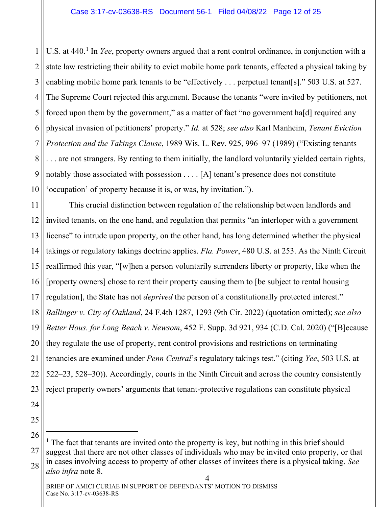1 2 3 4 5 6 7 8 9 10 U.S. at 440.<sup>[1](#page-17-2)</sup> In *Yee*, property owners argued that a rent control ordinance, in conjunction with a state law restricting their ability to evict mobile home park tenants, effected a physical taking by enabling mobile home park tenants to be "effectively . . . perpetual tenant[s]." 503 U.S. at 527. The Supreme Court rejected this argument. Because the tenants "were invited by petitioners, not forced upon them by the government," as a matter of fact "no government ha[d] required any physical invasion of petitioners' property." *Id.* at 528; *see also* Karl Manheim, *Tenant Eviction Protection and the Takings Clause*, 1989 Wis. L. Rev. 925, 996–97 (1989) ("Existing tenants . . . are not strangers. By renting to them initially, the landlord voluntarily yielded certain rights, notably those associated with possession . . . . [A] tenant's presence does not constitute 'occupation' of property because it is, or was, by invitation.").

<span id="page-17-0"></span>11 12 13 14 15 16 17 18 19 20 21 22 23 This crucial distinction between regulation of the relationship between landlords and invited tenants, on the one hand, and regulation that permits "an interloper with a government license" to intrude upon property, on the other hand, has long determined whether the physical takings or regulatory takings doctrine applies. *Fla. Power*, 480 U.S. at 253. As the Ninth Circuit reaffirmed this year, "[w]hen a person voluntarily surrenders liberty or property, like when the [property owners] chose to rent their property causing them to [be subject to rental housing regulation], the State has not *deprived* the person of a constitutionally protected interest." *Ballinger v. City of Oakland*, 24 F.4th 1287, 1293 (9th Cir. 2022) (quotation omitted); *see also Better Hous. for Long Beach v. Newsom*, 452 F. Supp. 3d 921, 934 (C.D. Cal. 2020) ("[B]ecause they regulate the use of property, rent control provisions and restrictions on terminating tenancies are examined under *Penn Central*'s regulatory takings test." (citing *Yee*, 503 U.S. at 522–23, 528–30)). Accordingly, courts in the Ninth Circuit and across the country consistently reject property owners' arguments that tenant-protective regulations can constitute physical

<span id="page-17-1"></span>25 26

<span id="page-17-2"></span><sup>27</sup> 28 <sup>1</sup> The fact that tenants are invited onto the property is key, but nothing in this brief should suggest that there are not other classes of individuals who may be invited onto property, or that in cases involving access to property of other classes of invitees there is a physical taking. *See also infra* note 8.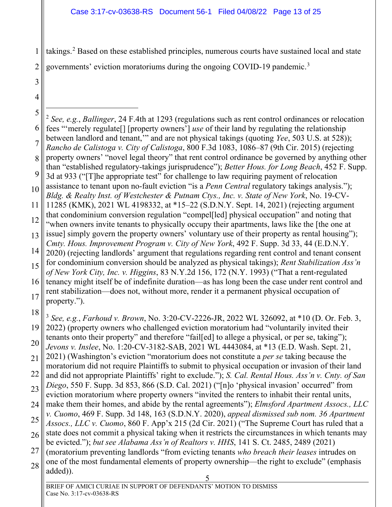1 2 takings.<sup>[2](#page-18-9)</sup> Based on these established principles, numerous courts have sustained local and state governments' eviction moratoriums during the ongoing COVID-19 pandemic.<sup>[3](#page-18-10)</sup>

3 4

<span id="page-18-10"></span><span id="page-18-9"></span><span id="page-18-8"></span><span id="page-18-7"></span><span id="page-18-6"></span><span id="page-18-5"></span><span id="page-18-4"></span><span id="page-18-3"></span><span id="page-18-2"></span><span id="page-18-1"></span><span id="page-18-0"></span>5 6 7 8 9 10 11 12 13 14 15 16 17 18 19 20 21 22  $23$ 24 25 26 27 28 5 <sup>2</sup> *See, e.g.*, *Ballinger*, 24 F.4th at 1293 (regulations such as rent control ordinances or relocation fees "'merely regulate[] [property owners'] *use* of their land by regulating the relationship between landlord and tenant,'" and are not physical takings (quoting *Yee*, 503 U.S. at 528)); *Rancho de Calistoga v. City of Calistoga*, 800 F.3d 1083, 1086–87 (9th Cir. 2015) (rejecting property owners' "novel legal theory" that rent control ordinance be governed by anything other than "established regulatory-takings jurisprudence"); *Better Hous. for Long Beach*, 452 F. Supp. 3d at 933 ("[T]he appropriate test" for challenge to law requiring payment of relocation assistance to tenant upon no-fault eviction "is a *Penn Central* regulatory takings analysis."); *Bldg. & Realty Inst. of Westchester & Putnam Ctys., Inc. v. State of New York*, No. 19-CV-11285 (KMK), 2021 WL 4198332, at \*15–22 (S.D.N.Y. Sept. 14, 2021) (rejecting argument that condominium conversion regulation "compel[led] physical occupation" and noting that "when owners invite tenants to physically occupy their apartments, laws like the [the one at issue] simply govern the property owners' voluntary use of their property as rental housing"); *Cmty. Hous. Improvement Program v. City of New York*, 492 F. Supp. 3d 33, 44 (E.D.N.Y. 2020) (rejecting landlords' argument that regulations regarding rent control and tenant consent for condominium conversion should be analyzed as physical takings); *Rent Stabilization Ass'n of New York City, Inc. v. Higgins*, 83 N.Y.2d 156, 172 (N.Y. 1993) ("That a rent-regulated tenancy might itself be of indefinite duration—as has long been the case under rent control and rent stabilization—does not, without more, render it a permanent physical occupation of property."). <sup>3</sup> *See, e.g.*, *Farhoud v. Brown*, No. 3:20-CV-2226-JR, 2022 WL 326092, at \*10 (D. Or. Feb. 3, 2022) (property owners who challenged eviction moratorium had "voluntarily invited their tenants onto their property" and therefore "fail[ed] to allege a physical, or per se, taking"); *Jevons v. Inslee*, No. 1:20-CV-3182-SAB, 2021 WL 4443084, at \*13 (E.D. Wash. Sept. 21, 2021) (Washington's eviction "moratorium does not constitute a *per se* taking because the moratorium did not require Plaintiffs to submit to physical occupation or invasion of their land and did not appropriate Plaintiffs' right to exclude."); *S. Cal. Rental Hous. Ass'n v. Cnty. of San Diego*, 550 F. Supp. 3d 853, 866 (S.D. Cal. 2021) ("[n]o 'physical invasion' occurred" from eviction moratorium where property owners "invited the renters to inhabit their rental units, make them their homes, and abide by the rental agreements"); *Elmsford Apartment Assocs., LLC v. Cuomo*, 469 F. Supp. 3d 148, 163 (S.D.N.Y. 2020), *appeal dismissed sub nom. 36 Apartment Assocs., LLC v. Cuomo*, 860 F. App'x 215 (2d Cir. 2021) ("The Supreme Court has ruled that a state does not commit a physical taking when it restricts the circumstances in which tenants may be evicted."); *but see Alabama Ass'n of Realtors v. HHS*, 141 S. Ct. 2485, 2489 (2021) (moratorium preventing landlords "from evicting tenants *who breach their leases* intrudes on one of the most fundamental elements of property ownership—the right to exclude" (emphasis added)).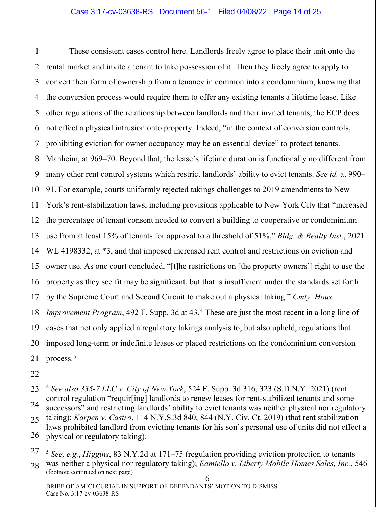1 2 3 4 5 6 7 8 9 10 11 12 13 14 15 16 17 18 19 20 21 These consistent cases control here. Landlords freely agree to place their unit onto the rental market and invite a tenant to take possession of it. Then they freely agree to apply to convert their form of ownership from a tenancy in common into a condominium, knowing that the conversion process would require them to offer any existing tenants a lifetime lease. Like other regulations of the relationship between landlords and their invited tenants, the ECP does not effect a physical intrusion onto property. Indeed, "in the context of conversion controls, prohibiting eviction for owner occupancy may be an essential device" to protect tenants. Manheim, at 969–70. Beyond that, the lease's lifetime duration is functionally no different from many other rent control systems which restrict landlords' ability to evict tenants. *See id.* at 990– 91. For example, courts uniformly rejected takings challenges to 2019 amendments to New York's rent-stabilization laws, including provisions applicable to New York City that "increased the percentage of tenant consent needed to convert a building to cooperative or condominium use from at least 15% of tenants for approval to a threshold of 51%," *Bldg. & Realty Inst.*, 2021 WL 4198332, at \*3, and that imposed increased rent control and restrictions on eviction and owner use. As one court concluded, "[t]he restrictions on [the property owners'] right to use the property as they see fit may be significant, but that is insufficient under the standards set forth by the Supreme Court and Second Circuit to make out a physical taking." *Cmty. Hous. Improvement Program*, [4](#page-19-5)92 F. Supp. 3d at 43.<sup>4</sup> These are just the most recent in a long line of cases that not only applied a regulatory takings analysis to, but also upheld, regulations that imposed long-term or indefinite leases or placed restrictions on the condominium conversion process.[5](#page-19-6)

- <span id="page-19-1"></span>22
- <span id="page-19-5"></span><span id="page-19-3"></span><span id="page-19-0"></span>23 24 25 26 <sup>4</sup> *See also 335-7 LLC v. City of New York*, 524 F. Supp. 3d 316, 323 (S.D.N.Y. 2021) (rent control regulation "requir[ing] landlords to renew leases for rent-stabilized tenants and some successors" and restricting landlords' ability to evict tenants was neither physical nor regulatory taking); *Karpen v. Castro*, 114 N.Y.S.3d 840, 844 (N.Y. Civ. Ct. 2019) (that rent stabilization laws prohibited landlord from evicting tenants for his son's personal use of units did not effect a physical or regulatory taking).
- <span id="page-19-6"></span><span id="page-19-4"></span><span id="page-19-2"></span>27 28 <sup>5</sup> *See, e.g.*, *Higgins*, 83 N.Y.2d at 171–75 (regulation providing eviction protection to tenants was neither a physical nor regulatory taking); *Eamiello v. Liberty Mobile Homes Sales, Inc.*, 546 (footnote continued on next page)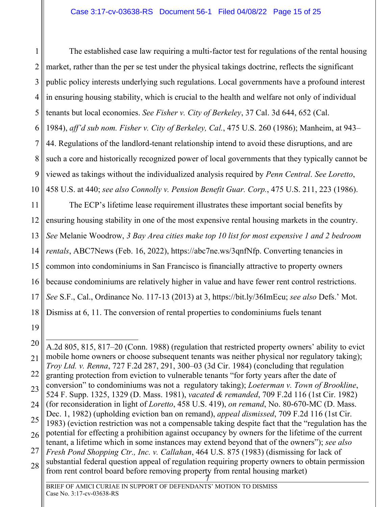<span id="page-20-1"></span>1 2 3 4 5 6 7 8 9 10 The established case law requiring a multi-factor test for regulations of the rental housing market, rather than the per se test under the physical takings doctrine, reflects the significant public policy interests underlying such regulations. Local governments have a profound interest in ensuring housing stability, which is crucial to the health and welfare not only of individual tenants but local economies. *See Fisher v. City of Berkeley*, 37 Cal. 3d 644, 652 (Cal. 1984), *aff'd sub nom. Fisher v. City of Berkeley, Cal.*, 475 U.S. 260 (1986); Manheim, at 943– 44. Regulations of the landlord-tenant relationship intend to avoid these disruptions, and are such a core and historically recognized power of local governments that they typically cannot be viewed as takings without the individualized analysis required by *Penn Central*. *See Loretto*, 458 U.S. at 440; *see also Connolly v. Pension Benefit Guar. Corp.*, 475 U.S. 211, 223 (1986).

<span id="page-20-0"></span>11 12 13 14 15 16 17 18 The ECP's lifetime lease requirement illustrates these important social benefits by ensuring housing stability in one of the most expensive rental housing markets in the country. *See* Melanie Woodrow, *3 Bay Area cities make top 10 list for most expensive 1 and 2 bedroom rentals*, ABC7News (Feb. 16, 2022), https://abc7ne.ws/3qnfNfp. Converting tenancies in common into condominiums in San Francisco is financially attractive to property owners because condominiums are relatively higher in value and have fewer rent control restrictions. *See* S.F., Cal., Ordinance No. 117-13 (2013) at 3, https://bit.ly/36ImEcu; *see also* Defs.' Mot. Dismiss at 6, 11. The conversion of rental properties to condominiums fuels tenant

<span id="page-20-4"></span><span id="page-20-3"></span><span id="page-20-2"></span><sup>20</sup> 21 22 23 24 25 26 27 28 7 A.2d 805, 815, 817–20 (Conn. 1988) (regulation that restricted property owners' ability to evict mobile home owners or choose subsequent tenants was neither physical nor regulatory taking); *Troy Ltd. v. Renna*, 727 F.2d 287, 291, 300–03 (3d Cir. 1984) (concluding that regulation granting protection from eviction to vulnerable tenants "for forty years after the date of conversion" to condominiums was not a regulatory taking); *Loeterman v. Town of Brookline*, 524 F. Supp. 1325, 1329 (D. Mass. 1981), *vacated & remanded*, 709 F.2d 116 (1st Cir. 1982) (for reconsideration in light of *Loretto*, 458 U.S. 419), *on remand*, No. 80-670-MC (D. Mass. Dec. 1, 1982) (upholding eviction ban on remand), *appeal dismissed*, 709 F.2d 116 (1st Cir. 1983) (eviction restriction was not a compensable taking despite fact that the "regulation has the potential for effecting a prohibition against occupancy by owners for the lifetime of the current tenant, a lifetime which in some instances may extend beyond that of the owners"); *see also Fresh Pond Shopping Ctr., Inc. v. Callahan*, 464 U.S. 875 (1983) (dismissing for lack of substantial federal question appeal of regulation requiring property owners to obtain permission from rent control board before removing property from rental housing market)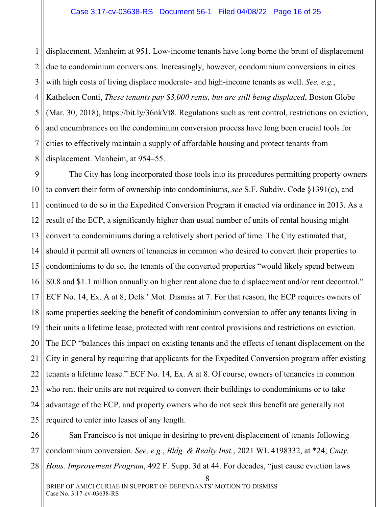1 2 3 4 5 6 7 8 displacement. Manheim at 951. Low-income tenants have long borne the brunt of displacement due to condominium conversions. Increasingly, however, condominium conversions in cities with high costs of living displace moderate- and high-income tenants as well. *See, e.g.*, Katheleen Conti, *These tenants pay \$3,000 rents, but are still being displaced*, Boston Globe (Mar. 30, 2018), https://bit.ly/36nkVt8. Regulations such as rent control, restrictions on eviction, and encumbrances on the condominium conversion process have long been crucial tools for cities to effectively maintain a supply of affordable housing and protect tenants from displacement. Manheim, at 954–55.

 $\overline{Q}$ 10 11 12 13 14 15 16 17 18 19 20 21 22 23 24 25 The City has long incorporated those tools into its procedures permitting property owners to convert their form of ownership into condominiums, *see* S.F. Subdiv. Code §1391(c), and continued to do so in the Expedited Conversion Program it enacted via ordinance in 2013. As a result of the ECP, a significantly higher than usual number of units of rental housing might convert to condominiums during a relatively short period of time. The City estimated that, should it permit all owners of tenancies in common who desired to convert their properties to condominiums to do so, the tenants of the converted properties "would likely spend between \$0.8 and \$1.1 million annually on higher rent alone due to displacement and/or rent decontrol." ECF No. 14, Ex. A at 8; Defs.' Mot. Dismiss at 7. For that reason, the ECP requires owners of some properties seeking the benefit of condominium conversion to offer any tenants living in their units a lifetime lease, protected with rent control provisions and restrictions on eviction. The ECP "balances this impact on existing tenants and the effects of tenant displacement on the City in general by requiring that applicants for the Expedited Conversion program offer existing tenants a lifetime lease." ECF No. 14, Ex. A at 8. Of course, owners of tenancies in common who rent their units are not required to convert their buildings to condominiums or to take advantage of the ECP, and property owners who do not seek this benefit are generally not required to enter into leases of any length.

26 27 28 San Francisco is not unique in desiring to prevent displacement of tenants following condominium conversion. *See, e.g.*, *Bldg. & Realty Inst.*, 2021 WL 4198332, at \*24; *Cmty. Hous. Improvement Program*, 492 F. Supp. 3d at 44. For decades, "just cause eviction laws

<span id="page-21-0"></span><sup>8</sup>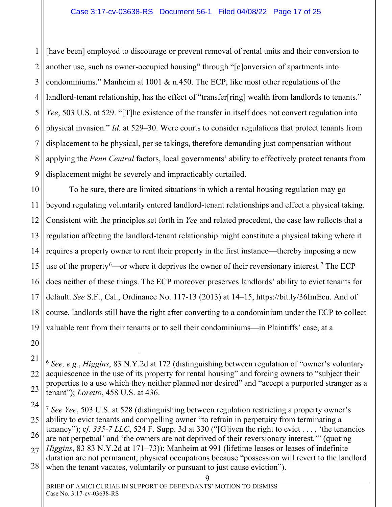<span id="page-22-1"></span>1 2 3 4 5 6 7 8  $\overline{Q}$ [have been] employed to discourage or prevent removal of rental units and their conversion to another use, such as owner-occupied housing" through "[c]onversion of apartments into condominiums." Manheim at 1001 & n.450. The ECP, like most other regulations of the landlord-tenant relationship, has the effect of "transfer[ring] wealth from landlords to tenants." *Yee*, 503 U.S. at 529. "[T]he existence of the transfer in itself does not convert regulation into physical invasion." *Id.* at 529–30. Were courts to consider regulations that protect tenants from displacement to be physical, per se takings, therefore demanding just compensation without applying the *Penn Central* factors, local governments' ability to effectively protect tenants from displacement might be severely and impracticably curtailed.

10 11 12 13 14 15 16 17 18 19 To be sure, there are limited situations in which a rental housing regulation may go beyond regulating voluntarily entered landlord-tenant relationships and effect a physical taking. Consistent with the principles set forth in *Yee* and related precedent, the case law reflects that a regulation affecting the landlord-tenant relationship might constitute a physical taking where it requires a property owner to rent their property in the first instance—thereby imposing a new use of the property <sup>[6](#page-22-2)</sup>—or where it deprives the owner of their reversionary interest.<sup>[7](#page-22-3)</sup> The ECP does neither of these things. The ECP moreover preserves landlords' ability to evict tenants for default. *See* S.F., Cal., Ordinance No. 117-13 (2013) at 14–15, https://bit.ly/36ImEcu. And of course, landlords still have the right after converting to a condominium under the ECP to collect valuable rent from their tenants or to sell their condominiums—in Plaintiffs' case, at a

<span id="page-22-2"></span><span id="page-22-0"></span><sup>21</sup> 22 23 <sup>6</sup> *See, e.g.*, *Higgins*, 83 N.Y.2d at 172 (distinguishing between regulation of "owner's voluntary acquiescence in the use of its property for rental housing" and forcing owners to "subject their properties to a use which they neither planned nor desired" and "accept a purported stranger as a tenant"); *Loretto*, 458 U.S. at 436.

<span id="page-22-3"></span><sup>24</sup> 25 26 27 28 <sup>7</sup> *See Yee*, 503 U.S. at 528 (distinguishing between regulation restricting a property owner's ability to evict tenants and compelling owner "to refrain in perpetuity from terminating a tenancy"); c*f. 335-7 LLC*, 524 F. Supp. 3d at 330 ("[G]iven the right to evict . . . , 'the tenancies are not perpetual' and 'the owners are not deprived of their reversionary interest.'" (quoting *Higgins*, 83 83 N.Y.2d at 171–73)); Manheim at 991 (lifetime leases or leases of indefinite duration are not permanent, physical occupations because "possession will revert to the landlord when the tenant vacates, voluntarily or pursuant to just cause eviction").

<sup>9</sup>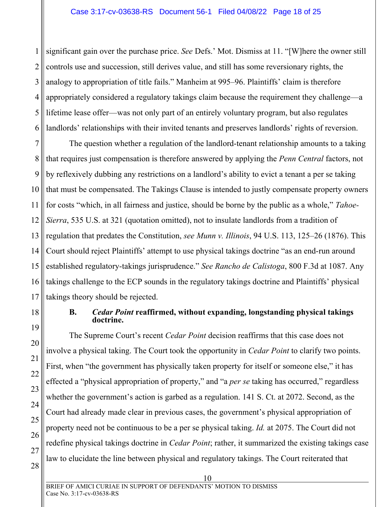1 2 3 4 5 6 significant gain over the purchase price. *See* Defs.' Mot. Dismiss at 11. "[W]here the owner still controls use and succession, still derives value, and still has some reversionary rights, the analogy to appropriation of title fails." Manheim at 995–96. Plaintiffs' claim is therefore appropriately considered a regulatory takings claim because the requirement they challenge—a lifetime lease offer—was not only part of an entirely voluntary program, but also regulates landlords' relationships with their invited tenants and preserves landlords' rights of reversion.

7 8 9 10 11 12 13 14 15 16 17 The question whether a regulation of the landlord-tenant relationship amounts to a taking that requires just compensation is therefore answered by applying the *Penn Central* factors, not by reflexively dubbing any restrictions on a landlord's ability to evict a tenant a per se taking that must be compensated. The Takings Clause is intended to justly compensate property owners for costs "which, in all fairness and justice, should be borne by the public as a whole," *Tahoe-Sierra*, 535 U.S. at 321 (quotation omitted), not to insulate landlords from a tradition of regulation that predates the Constitution, *see Munn v. Illinois*, 94 U.S. 113, 125–26 (1876). This Court should reject Plaintiffs' attempt to use physical takings doctrine "as an end-run around established regulatory-takings jurisprudence." *See Rancho de Calistoga*, 800 F.3d at 1087. Any takings challenge to the ECP sounds in the regulatory takings doctrine and Plaintiffs' physical takings theory should be rejected.

<span id="page-23-0"></span>18

19

20

21

22

23

24

### <span id="page-23-3"></span><span id="page-23-2"></span><span id="page-23-1"></span>**B.** *Cedar Point* **reaffirmed, without expanding, longstanding physical takings doctrine.**

The Supreme Court's recent *Cedar Point* decision reaffirms that this case does not involve a physical taking. The Court took the opportunity in *Cedar Point* to clarify two points. First, when "the government has physically taken property for itself or someone else," it has effected a "physical appropriation of property," and "a *per se* taking has occurred," regardless whether the government's action is garbed as a regulation. 141 S. Ct. at 2072. Second, as the Court had already made clear in previous cases, the government's physical appropriation of property need not be continuous to be a per se physical taking. *Id.* at 2075. The Court did not redefine physical takings doctrine in *Cedar Point*; rather, it summarized the existing takings case law to elucidate the line between physical and regulatory takings. The Court reiterated that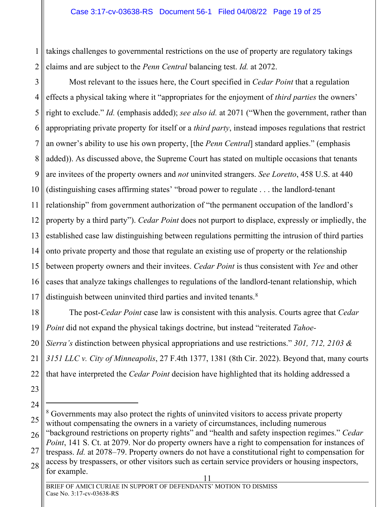1 2 takings challenges to governmental restrictions on the use of property are regulatory takings claims and are subject to the *Penn Central* balancing test. *Id.* at 2072.

3 4 5 6 7 8 9 10 11 12 13 14 15 16 17 Most relevant to the issues here, the Court specified in *Cedar Point* that a regulation effects a physical taking where it "appropriates for the enjoyment of *third parties* the owners' right to exclude." *Id.* (emphasis added); *see also id.* at 2071 ("When the government, rather than appropriating private property for itself or a *third party*, instead imposes regulations that restrict an owner's ability to use his own property, [the *Penn Central*] standard applies." (emphasis added)). As discussed above, the Supreme Court has stated on multiple occasions that tenants are invitees of the property owners and *not* uninvited strangers. *See Loretto*, 458 U.S. at 440 (distinguishing cases affirming states' "broad power to regulate . . . the landlord-tenant relationship" from government authorization of "the permanent occupation of the landlord's property by a third party"). *Cedar Point* does not purport to displace, expressly or impliedly, the established case law distinguishing between regulations permitting the intrusion of third parties onto private property and those that regulate an existing use of property or the relationship between property owners and their invitees. *Cedar Point* is thus consistent with *Yee* and other cases that analyze takings challenges to regulations of the landlord-tenant relationship, which distinguish between uninvited third parties and invited tenants.<sup>[8](#page-24-1)</sup>

<span id="page-24-0"></span>18 19 20 21 22 The post-*Cedar Point* case law is consistent with this analysis. Courts agree that *Cedar Point* did not expand the physical takings doctrine, but instead "reiterated *Tahoe-Sierra's* distinction between physical appropriations and use restrictions." *301, 712, 2103 & 3151 LLC v. City of Minneapolis*, 27 F.4th 1377, 1381 (8th Cir. 2022). Beyond that, many courts that have interpreted the *Cedar Point* decision have highlighted that its holding addressed a

- 23
- 24

28 access by trespassers, or other visitors such as certain service providers or housing inspectors, for example.

<span id="page-24-1"></span><sup>25</sup> <sup>8</sup> Governments may also protect the rights of uninvited visitors to access private property without compensating the owners in a variety of circumstances, including numerous

<sup>26</sup> 27 "background restrictions on property rights" and "health and safety inspection regimes." *Cedar Point*, 141 S. Ct. at 2079. Nor do property owners have a right to compensation for instances of trespass. *Id.* at 2078–79. Property owners do not have a constitutional right to compensation for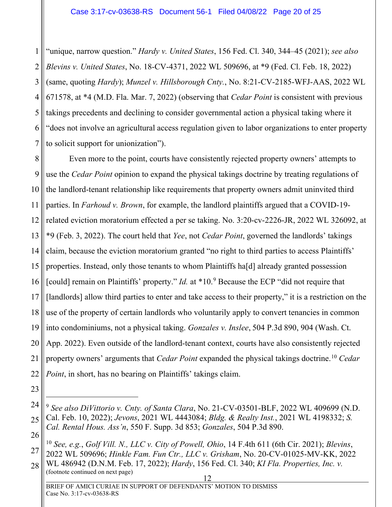<span id="page-25-7"></span><span id="page-25-3"></span><span id="page-25-0"></span>1 2 3 4 5 6 7 "unique, narrow question." *Hardy v. United States*, 156 Fed. Cl. 340, 344–45 (2021); *see also Blevins v. United States*, No. 18-CV-4371, 2022 WL 509696, at \*9 (Fed. Cl. Feb. 18, 2022) (same, quoting *Hardy*); *Munzel v. Hillsborough Cnty.*, No. 8:21-CV-2185-WFJ-AAS, 2022 WL 671578, at \*4 (M.D. Fla. Mar. 7, 2022) (observing that *Cedar Point* is consistent with previous takings precedents and declining to consider governmental action a physical taking where it "does not involve an agricultural access regulation given to labor organizations to enter property to solicit support for unionization").

8 9 10 11 12 13 14 15 16 17 18 19 20 21 22 Even more to the point, courts have consistently rejected property owners' attempts to use the *Cedar Point* opinion to expand the physical takings doctrine by treating regulations of the landlord-tenant relationship like requirements that property owners admit uninvited third parties. In *Farhoud v. Brown*, for example, the landlord plaintiffs argued that a COVID-19 related eviction moratorium effected a per se taking. No. 3:20-cv-2226-JR, 2022 WL 326092, at \*9 (Feb. 3, 2022). The court held that *Yee*, not *Cedar Point*, governed the landlords' takings claim, because the eviction moratorium granted "no right to third parties to access Plaintiffs' properties. Instead, only those tenants to whom Plaintiffs ha[d] already granted possession [could] remain on Plaintiffs' property." *Id.* at \*10.<sup>[9](#page-25-9)</sup> Because the ECP "did not require that [landlords] allow third parties to enter and take access to their property," it is a restriction on the use of the property of certain landlords who voluntarily apply to convert tenancies in common into condominiums, not a physical taking. *Gonzales v. Inslee*, 504 P.3d 890, 904 (Wash. Ct. App. 2022). Even outside of the landlord-tenant context, courts have also consistently rejected property owners' arguments that *Cedar Point* expanded the physical takings doctrine.[10](#page-25-10) *Cedar Point*, in short, has no bearing on Plaintiffs' takings claim.

<sup>23</sup>

<span id="page-25-9"></span><span id="page-25-8"></span><span id="page-25-5"></span><span id="page-25-1"></span><sup>24</sup> 25 26 <sup>9</sup> *See also DiVittorio v. Cnty. of Santa Clara*, No. 21-CV-03501-BLF, 2022 WL 409699 (N.D. Cal. Feb. 10, 2022); *Jevons*, 2021 WL 4443084; *Bldg. & Realty Inst.*, 2021 WL 4198332; *S. Cal. Rental Hous. Ass'n*, 550 F. Supp. 3d 853; *Gonzales*, 504 P.3d 890.

<span id="page-25-10"></span><span id="page-25-4"></span><span id="page-25-2"></span><sup>27</sup> <sup>10</sup> *See, e.g.*, *Golf Vill. N., LLC v. City of Powell, Ohio*, 14 F.4th 611 (6th Cir. 2021); *Blevins*, 2022 WL 509696; *Hinkle Fam. Fun Ctr., LLC v. Grisham*, No. 20-CV-01025-MV-KK, 2022 WL 486942 (D.N.M. Feb. 17, 2022); *Hardy*, 156 Fed. Cl. 340; *KI Fla. Properties, Inc. v.* 

<span id="page-25-6"></span><sup>28</sup> (footnote continued on next page)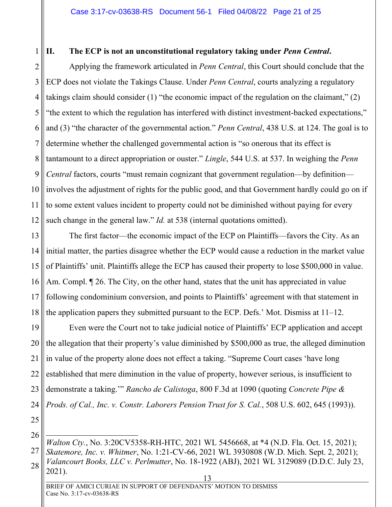### <span id="page-26-0"></span>1 **II. The ECP is not an unconstitutional regulatory taking under** *Penn Central***.**

<span id="page-26-2"></span>2 3 4 5 6 7 8 9 10 11 12 Applying the framework articulated in *Penn Central*, this Court should conclude that the ECP does not violate the Takings Clause. Under *Penn Central*, courts analyzing a regulatory takings claim should consider (1) "the economic impact of the regulation on the claimant," (2) "the extent to which the regulation has interfered with distinct investment-backed expectations," and (3) "the character of the governmental action." *Penn Central*, 438 U.S. at 124. The goal is to determine whether the challenged governmental action is "so onerous that its effect is tantamount to a direct appropriation or ouster." *Lingle*, 544 U.S. at 537. In weighing the *Penn Central* factors, courts "must remain cognizant that government regulation—by definition involves the adjustment of rights for the public good, and that Government hardly could go on if to some extent values incident to property could not be diminished without paying for every such change in the general law." *Id.* at 538 (internal quotations omitted).

<span id="page-26-1"></span>13 14 15 16 17 18 The first factor—the economic impact of the ECP on Plaintiffs—favors the City. As an initial matter, the parties disagree whether the ECP would cause a reduction in the market value of Plaintiffs' unit. Plaintiffs allege the ECP has caused their property to lose \$500,000 in value. Am. Compl.  $\parallel$  26. The City, on the other hand, states that the unit has appreciated in value following condominium conversion, and points to Plaintiffs' agreement with that statement in the application papers they submitted pursuant to the ECP. Defs.' Mot. Dismiss at  $11-12$ .

19 20 21 22 23 24 Even were the Court not to take judicial notice of Plaintiffs' ECP application and accept the allegation that their property's value diminished by \$500,000 as true, the alleged diminution in value of the property alone does not effect a taking. "Supreme Court cases 'have long established that mere diminution in the value of property, however serious, is insufficient to demonstrate a taking.'" *Rancho de Calistoga*, 800 F.3d at 1090 (quoting *Concrete Pipe & Prods. of Cal., Inc. v. Constr. Laborers Pension Trust for S. Cal.*, 508 U.S. 602, 645 (1993)).

25 26

<span id="page-26-4"></span><span id="page-26-3"></span>27 28 *Walton Cty.*, No. 3:20CV5358-RH-HTC, 2021 WL 5456668, at \*4 (N.D. Fla. Oct. 15, 2021); *Skatemore, Inc. v. Whitmer*, No. 1:21-CV-66, 2021 WL 3930808 (W.D. Mich. Sept. 2, 2021); *Valancourt Books, LLC v. Perlmutter*, No. 18-1922 (ABJ), 2021 WL 3129089 (D.D.C. July 23, 2021).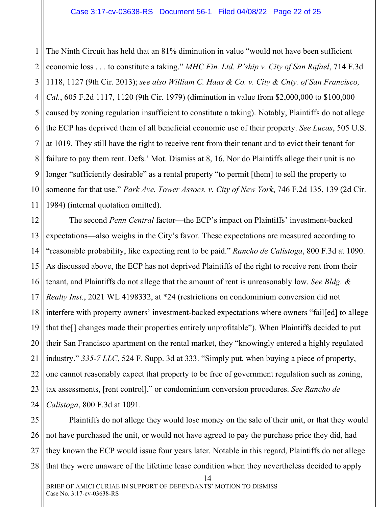<span id="page-27-4"></span><span id="page-27-1"></span><span id="page-27-0"></span>1 2 3 4 5 6 7 8 9 10 11 The Ninth Circuit has held that an 81% diminution in value "would not have been sufficient economic loss . . . to constitute a taking." *MHC Fin. Ltd. P'ship v. City of San Rafael*, 714 F.3d 1118, 1127 (9th Cir. 2013); *see also William C. Haas & Co. v. City & Cnty. of San Francisco, Cal.*, 605 F.2d 1117, 1120 (9th Cir. 1979) (diminution in value from \$2,000,000 to \$100,000 caused by zoning regulation insufficient to constitute a taking). Notably, Plaintiffs do not allege the ECP has deprived them of all beneficial economic use of their property. *See Lucas*, 505 U.S. at 1019. They still have the right to receive rent from their tenant and to evict their tenant for failure to pay them rent. Defs.' Mot. Dismiss at 8, 16. Nor do Plaintiffs allege their unit is no longer "sufficiently desirable" as a rental property "to permit [them] to sell the property to someone for that use." *Park Ave. Tower Assocs. v. City of New York*, 746 F.2d 135, 139 (2d Cir. 1984) (internal quotation omitted).

<span id="page-27-2"></span>12 13 14 15 16 17 18 19 20 21 22 23 24 The second *Penn Central* factor—the ECP's impact on Plaintiffs' investment-backed expectations—also weighs in the City's favor. These expectations are measured according to "reasonable probability, like expecting rent to be paid." *Rancho de Calistoga*, 800 F.3d at 1090. As discussed above, the ECP has not deprived Plaintiffs of the right to receive rent from their tenant, and Plaintiffs do not allege that the amount of rent is unreasonably low. *See Bldg. & Realty Inst.*, 2021 WL 4198332, at \*24 (restrictions on condominium conversion did not interfere with property owners' investment-backed expectations where owners "fail[ed] to allege that the[] changes made their properties entirely unprofitable"). When Plaintiffs decided to put their San Francisco apartment on the rental market, they "knowingly entered a highly regulated industry." *335-7 LLC*, 524 F. Supp. 3d at 333. "Simply put, when buying a piece of property, one cannot reasonably expect that property to be free of government regulation such as zoning, tax assessments, [rent control]," or condominium conversion procedures. *See Rancho de Calistoga*, 800 F.3d at 1091.

<span id="page-27-3"></span>25 26 27 28 Plaintiffs do not allege they would lose money on the sale of their unit, or that they would not have purchased the unit, or would not have agreed to pay the purchase price they did, had they known the ECP would issue four years later. Notable in this regard, Plaintiffs do not allege that they were unaware of the lifetime lease condition when they nevertheless decided to apply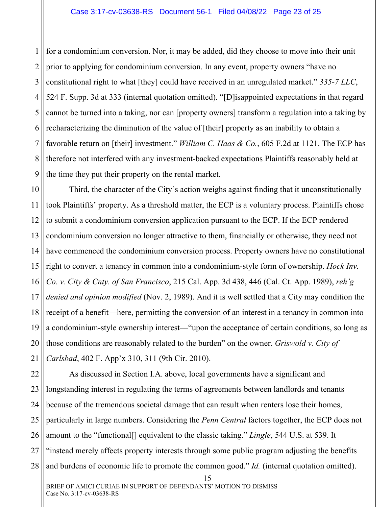1 2 3 4 5 6 7 8 9 for a condominium conversion. Nor, it may be added, did they choose to move into their unit prior to applying for condominium conversion. In any event, property owners "have no constitutional right to what [they] could have received in an unregulated market." *335-7 LLC*, 524 F. Supp. 3d at 333 (internal quotation omitted). "[D]isappointed expectations in that regard cannot be turned into a taking, nor can [property owners] transform a regulation into a taking by recharacterizing the diminution of the value of [their] property as an inability to obtain a favorable return on [their] investment." *William C. Haas & Co.*, 605 F.2d at 1121. The ECP has therefore not interfered with any investment-backed expectations Plaintiffs reasonably held at the time they put their property on the rental market.

<span id="page-28-3"></span><span id="page-28-1"></span>10 11 12 13 14 15 16 17 18 19 20 21 Third, the character of the City's action weighs against finding that it unconstitutionally took Plaintiffs' property. As a threshold matter, the ECP is a voluntary process. Plaintiffs chose to submit a condominium conversion application pursuant to the ECP. If the ECP rendered condominium conversion no longer attractive to them, financially or otherwise, they need not have commenced the condominium conversion process. Property owners have no constitutional right to convert a tenancy in common into a condominium-style form of ownership. *Hock Inv. Co. v. City & Cnty. of San Francisco*, 215 Cal. App. 3d 438, 446 (Cal. Ct. App. 1989), *reh'g denied and opinion modified* (Nov. 2, 1989). And it is well settled that a City may condition the receipt of a benefit—here, permitting the conversion of an interest in a tenancy in common into a condominium-style ownership interest—"upon the acceptance of certain conditions, so long as those conditions are reasonably related to the burden" on the owner. *Griswold v. City of Carlsbad*, 402 F. App'x 310, 311 (9th Cir. 2010).

<span id="page-28-2"></span><span id="page-28-0"></span>22 23 24 25 26 27 28 As discussed in Section I.A. above, local governments have a significant and longstanding interest in regulating the terms of agreements between landlords and tenants because of the tremendous societal damage that can result when renters lose their homes, particularly in large numbers. Considering the *Penn Central* factors together, the ECP does not amount to the "functional[] equivalent to the classic taking." *Lingle*, 544 U.S. at 539. It "instead merely affects property interests through some public program adjusting the benefits and burdens of economic life to promote the common good." *Id.* (internal quotation omitted).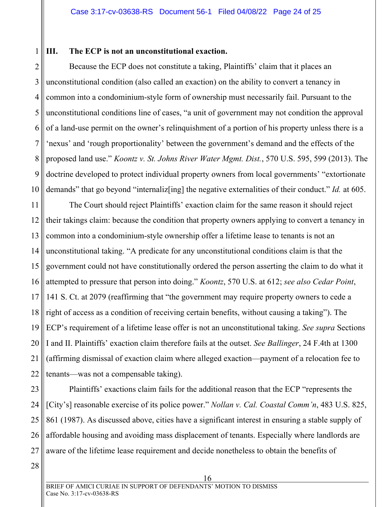#### <span id="page-29-0"></span>1 **III. The ECP is not an unconstitutional exaction.**

2 3 4 5 6 7 8 9 10 Because the ECP does not constitute a taking, Plaintiffs' claim that it places an unconstitutional condition (also called an exaction) on the ability to convert a tenancy in common into a condominium-style form of ownership must necessarily fail. Pursuant to the unconstitutional conditions line of cases, "a unit of government may not condition the approval of a land-use permit on the owner's relinquishment of a portion of his property unless there is a 'nexus' and 'rough proportionality' between the government's demand and the effects of the proposed land use." *Koontz v. St. Johns River Water Mgmt. Dist.*, 570 U.S. 595, 599 (2013). The doctrine developed to protect individual property owners from local governments' "extortionate demands" that go beyond "internaliz[ing] the negative externalities of their conduct." *Id.* at 605.

<span id="page-29-1"></span>11 12 13 14 15 16 17 18 19 20 21 22 The Court should reject Plaintiffs' exaction claim for the same reason it should reject their takings claim: because the condition that property owners applying to convert a tenancy in common into a condominium-style ownership offer a lifetime lease to tenants is not an unconstitutional taking. "A predicate for any unconstitutional conditions claim is that the government could not have constitutionally ordered the person asserting the claim to do what it attempted to pressure that person into doing." *Koontz*, 570 U.S. at 612; *see also Cedar Point*, 141 S. Ct. at 2079 (reaffirming that "the government may require property owners to cede a right of access as a condition of receiving certain benefits, without causing a taking"). The ECP's requirement of a lifetime lease offer is not an unconstitutional taking. *See supra* Sections I and II. Plaintiffs' exaction claim therefore fails at the outset. *See Ballinger*, 24 F.4th at 1300 (affirming dismissal of exaction claim where alleged exaction—payment of a relocation fee to tenants—was not a compensable taking).

<span id="page-29-2"></span>23 24 25 26 27 Plaintiffs' exactions claim fails for the additional reason that the ECP "represents the [City's] reasonable exercise of its police power." *Nollan v. Cal. Coastal Comm'n*, 483 U.S. 825, 861 (1987). As discussed above, cities have a significant interest in ensuring a stable supply of affordable housing and avoiding mass displacement of tenants. Especially where landlords are aware of the lifetime lease requirement and decide nonetheless to obtain the benefits of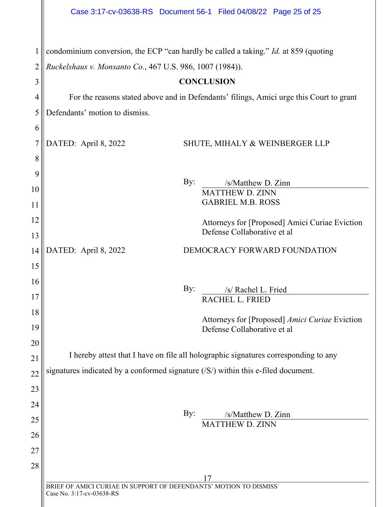<span id="page-30-1"></span><span id="page-30-0"></span>

|                | Case 3:17-cv-03638-RS  Document 56-1  Filed 04/08/22  Page 25 of 25                                                                                     |
|----------------|---------------------------------------------------------------------------------------------------------------------------------------------------------|
| $\overline{2}$ | condominium conversion, the ECP "can hardly be called a taking." <i>Id.</i> at 859 (quoting<br>Ruckelshaus v. Monsanto Co., 467 U.S. 986, 1007 (1984)). |
| 3              | <b>CONCLUSION</b>                                                                                                                                       |
| $\overline{4}$ | For the reasons stated above and in Defendants' filings, Amici urge this Court to grant                                                                 |
| 5              | Defendants' motion to dismiss.                                                                                                                          |
| 6              |                                                                                                                                                         |
| 7              | DATED: April 8, 2022<br>SHUTE, MIHALY & WEINBERGER LLP                                                                                                  |
| 8              |                                                                                                                                                         |
| 9              |                                                                                                                                                         |
| 10             | By:<br>/s/Matthew D. Zinn                                                                                                                               |
| 11             | <b>MATTHEW D. ZINN</b><br><b>GABRIEL M.B. ROSS</b>                                                                                                      |
| 12             |                                                                                                                                                         |
| 13             | Attorneys for [Proposed] Amici Curiae Eviction<br>Defense Collaborative et al                                                                           |
| 14             | DATED: April 8, 2022<br>DEMOCRACY FORWARD FOUNDATION                                                                                                    |
| 15             |                                                                                                                                                         |
| 16             |                                                                                                                                                         |
| 17             | By:<br>/s/ Rachel L. Fried                                                                                                                              |
| 18             | RACHEL L. FRIED                                                                                                                                         |
| 19             | Attorneys for [Proposed] Amici Curiae Eviction<br>Defense Collaborative et al                                                                           |
| 20             |                                                                                                                                                         |
| 21             | I hereby attest that I have on file all holographic signatures corresponding to any                                                                     |
| 22             | signatures indicated by a conformed signature $( S\rangle)$ within this e-filed document.                                                               |
| 23             |                                                                                                                                                         |
| 24             |                                                                                                                                                         |
| 25             | By:<br>/s/Matthew D. Zinn                                                                                                                               |
| 26             | <b>MATTHEW D. ZINN</b>                                                                                                                                  |
| 27             |                                                                                                                                                         |
| 28             |                                                                                                                                                         |
|                |                                                                                                                                                         |
|                | BRIEF OF AMICI CURIAE IN SUPPORT OF DEFENDANTS' MOTION TO DISMISS<br>Case No. 3:17-cv-03638-RS                                                          |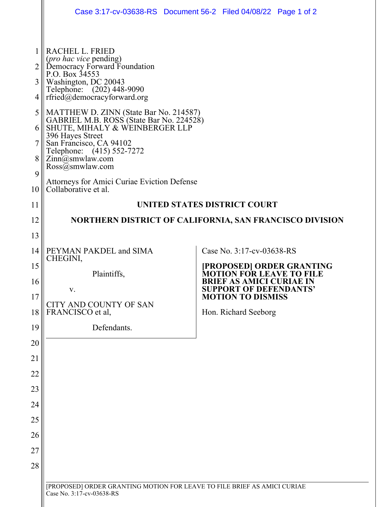|                                  |                                                                                                                                                                                                                                                                                                                                                                                                                                                                                                                        | Case 3:17-cv-03638-RS  Document 56-2  Filed 04/08/22  Page 1 of 2  |  |
|----------------------------------|------------------------------------------------------------------------------------------------------------------------------------------------------------------------------------------------------------------------------------------------------------------------------------------------------------------------------------------------------------------------------------------------------------------------------------------------------------------------------------------------------------------------|--------------------------------------------------------------------|--|
| 2<br>3<br>4<br>5<br>8<br>9<br>10 | RACHEL L. FRIED<br>(pro hac vice pending)<br>Democracy Forward Foundation<br>P.O. Box 34553<br>Washington, DC 20043<br>Telephone: (202) 448-9090<br>rfried@democracyforward.org<br>MATTHEW D. ZINN (State Bar No. 214587)<br>GABRIEL M.B. ROSS (State Bar No. 224528)<br>SHUTE, MIHALY & WEINBERGER LLP<br>396 Hayes Street<br>San Francisco, CA 94102<br>Telephone: (415) 552-7272<br>Zinn@smwlaw.com<br>$\text{Ross}(\overline{a}$ smwlaw.com<br>Attorneys for Amici Curiae Eviction Defense<br>Collaborative et al. |                                                                    |  |
| 11                               | UNITED STATES DISTRICT COURT                                                                                                                                                                                                                                                                                                                                                                                                                                                                                           |                                                                    |  |
| 12                               |                                                                                                                                                                                                                                                                                                                                                                                                                                                                                                                        | NORTHERN DISTRICT OF CALIFORNIA, SAN FRANCISCO DIVISION            |  |
| 13                               |                                                                                                                                                                                                                                                                                                                                                                                                                                                                                                                        |                                                                    |  |
| 14                               | PEYMAN PAKDEL and SIMA                                                                                                                                                                                                                                                                                                                                                                                                                                                                                                 | Case No. 3:17-cv-03638-RS                                          |  |
| 15                               | CHEGINI,                                                                                                                                                                                                                                                                                                                                                                                                                                                                                                               | [PROPOSED] ORDER GRANTING                                          |  |
| 16                               | Plaintiffs,                                                                                                                                                                                                                                                                                                                                                                                                                                                                                                            | <b>MOTION FOR LEAVE TO FILE</b><br><b>BRIEF AS AMICI CURIAE IN</b> |  |
| 17                               | v.                                                                                                                                                                                                                                                                                                                                                                                                                                                                                                                     | <b>SUPPORT OF DEFENDANTS'</b><br><b>MOTION TO DISMISS</b>          |  |
| 18                               | CITY AND COUNTY OF SAN<br>FRANCISCO et al,                                                                                                                                                                                                                                                                                                                                                                                                                                                                             | Hon. Richard Seeborg                                               |  |
| 19                               | Defendants.                                                                                                                                                                                                                                                                                                                                                                                                                                                                                                            |                                                                    |  |
| 20                               |                                                                                                                                                                                                                                                                                                                                                                                                                                                                                                                        |                                                                    |  |
| 21                               |                                                                                                                                                                                                                                                                                                                                                                                                                                                                                                                        |                                                                    |  |
| 22                               |                                                                                                                                                                                                                                                                                                                                                                                                                                                                                                                        |                                                                    |  |
| 23                               |                                                                                                                                                                                                                                                                                                                                                                                                                                                                                                                        |                                                                    |  |
| 24                               |                                                                                                                                                                                                                                                                                                                                                                                                                                                                                                                        |                                                                    |  |
| 25                               |                                                                                                                                                                                                                                                                                                                                                                                                                                                                                                                        |                                                                    |  |
| 26                               |                                                                                                                                                                                                                                                                                                                                                                                                                                                                                                                        |                                                                    |  |
| 27                               |                                                                                                                                                                                                                                                                                                                                                                                                                                                                                                                        |                                                                    |  |
| 28                               |                                                                                                                                                                                                                                                                                                                                                                                                                                                                                                                        |                                                                    |  |
|                                  | [PROPOSED] ORDER GRANTING MOTION FOR LEAVE TO FILE BRIEF AS AMICI CURIAE<br>Case No. 3:17-cv-03638-RS                                                                                                                                                                                                                                                                                                                                                                                                                  |                                                                    |  |